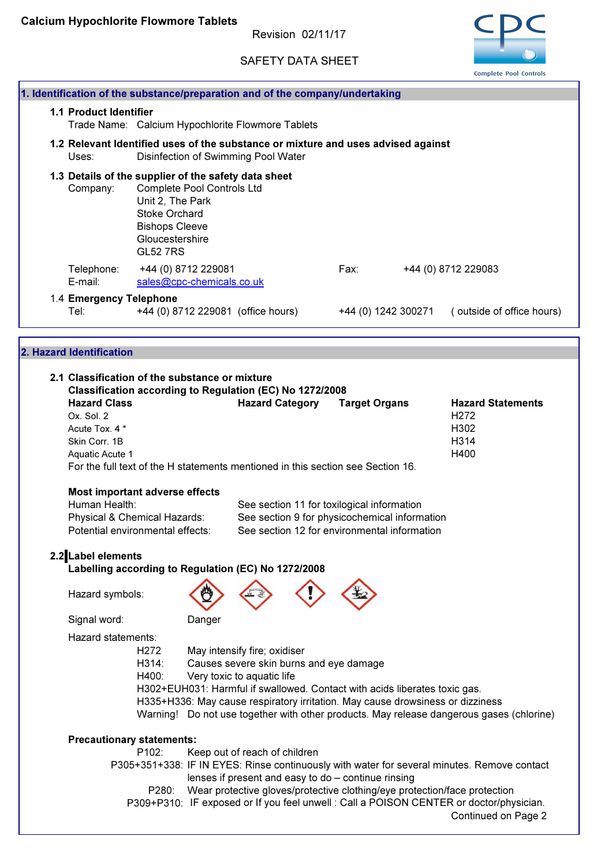Revision 02/11/17

# SAFETY DATA SHEET



| 1. Identification of the substance/preparation and of the company/undertaking                                                                                                                                                                                                                                                                                                                                                  |                                                                                                                                       |                                                                                                                                             |                     |                              |  |  |  |  |
|--------------------------------------------------------------------------------------------------------------------------------------------------------------------------------------------------------------------------------------------------------------------------------------------------------------------------------------------------------------------------------------------------------------------------------|---------------------------------------------------------------------------------------------------------------------------------------|---------------------------------------------------------------------------------------------------------------------------------------------|---------------------|------------------------------|--|--|--|--|
| 1.1 Product Identifier<br>Trade Name: Calcium Hypochlorite Flowmore Tablets                                                                                                                                                                                                                                                                                                                                                    |                                                                                                                                       |                                                                                                                                             |                     |                              |  |  |  |  |
| Uses:                                                                                                                                                                                                                                                                                                                                                                                                                          | 1.2 Relevant Identified uses of the substance or mixture and uses advised against<br>Disinfection of Swimming Pool Water              |                                                                                                                                             |                     |                              |  |  |  |  |
| 1.3 Details of the supplier of the safety data sheet<br>Company:                                                                                                                                                                                                                                                                                                                                                               | Complete Pool Controls Ltd<br>Unit 2, The Park<br><b>Stoke Orchard</b><br><b>Bishops Cleeve</b><br>Gloucestershire<br><b>GL52 7RS</b> |                                                                                                                                             |                     |                              |  |  |  |  |
| Telephone:<br>E-mail:                                                                                                                                                                                                                                                                                                                                                                                                          | +44 (0) 8712 229081<br>sales@cpc-chemicals.co.uk                                                                                      |                                                                                                                                             | Fax:                | +44 (0) 8712 229083          |  |  |  |  |
| 1.4 Emergency Telephone<br>Tel:                                                                                                                                                                                                                                                                                                                                                                                                | +44 (0) 8712 229081 (office hours)                                                                                                    |                                                                                                                                             | +44 (0) 1242 300271 | (outside of office hours)    |  |  |  |  |
|                                                                                                                                                                                                                                                                                                                                                                                                                                |                                                                                                                                       |                                                                                                                                             |                     |                              |  |  |  |  |
| 2. Hazard Identification                                                                                                                                                                                                                                                                                                                                                                                                       |                                                                                                                                       |                                                                                                                                             |                     |                              |  |  |  |  |
| 2.1 Classification of the substance or mixture<br>Classification according to Regulation (EC) No 1272/2008<br><b>Hazard Class</b><br><b>Hazard Statements</b><br><b>Hazard Category</b><br><b>Target Organs</b>                                                                                                                                                                                                                |                                                                                                                                       |                                                                                                                                             |                     |                              |  |  |  |  |
| Ox. Sol. 2<br>Acute Tox. 4 *<br>Skin Corr. 1B<br>Aquatic Acute 1                                                                                                                                                                                                                                                                                                                                                               |                                                                                                                                       | For the full text of the H statements mentioned in this section see Section 16.                                                             |                     | H272<br>H302<br>H314<br>H400 |  |  |  |  |
| <b>Most important adverse effects</b><br>Human Health:<br>Physical & Chemical Hazards:<br>Potential environmental effects:                                                                                                                                                                                                                                                                                                     |                                                                                                                                       | See section 11 for toxilogical information<br>See section 9 for physicochemical information<br>See section 12 for environmental information |                     |                              |  |  |  |  |
| 2.2 Label elements                                                                                                                                                                                                                                                                                                                                                                                                             |                                                                                                                                       | Labelling according to Regulation (EC) No 1272/2008                                                                                         |                     |                              |  |  |  |  |
| Hazard symbols:                                                                                                                                                                                                                                                                                                                                                                                                                |                                                                                                                                       |                                                                                                                                             |                     |                              |  |  |  |  |
| Signal word:                                                                                                                                                                                                                                                                                                                                                                                                                   | Danger                                                                                                                                |                                                                                                                                             |                     |                              |  |  |  |  |
| Hazard statements:<br>H <sub>2</sub> 72<br>May intensify fire; oxidiser<br>H314:<br>Causes severe skin burns and eye damage<br>H400:<br>Very toxic to aquatic life<br>H302+EUH031: Harmful if swallowed. Contact with acids liberates toxic gas.<br>H335+H336: May cause respiratory irritation. May cause drowsiness or dizziness<br>Warning! Do not use together with other products. May release dangerous gases (chlorine) |                                                                                                                                       |                                                                                                                                             |                     |                              |  |  |  |  |
| <b>Precautionary statements:</b>                                                                                                                                                                                                                                                                                                                                                                                               |                                                                                                                                       |                                                                                                                                             |                     |                              |  |  |  |  |
| P <sub>102</sub> :<br>Keep out of reach of children<br>P305+351+338: IF IN EYES: Rinse continuously with water for several minutes. Remove contact<br>lenses if present and easy to do - continue rinsing<br>Wear protective gloves/protective clothing/eye protection/face protection<br>P280:<br>P309+P310: IF exposed or If you feel unwell : Call a POISON CENTER or doctor/physician.<br>Continued on Page 2              |                                                                                                                                       |                                                                                                                                             |                     |                              |  |  |  |  |
|                                                                                                                                                                                                                                                                                                                                                                                                                                |                                                                                                                                       |                                                                                                                                             |                     |                              |  |  |  |  |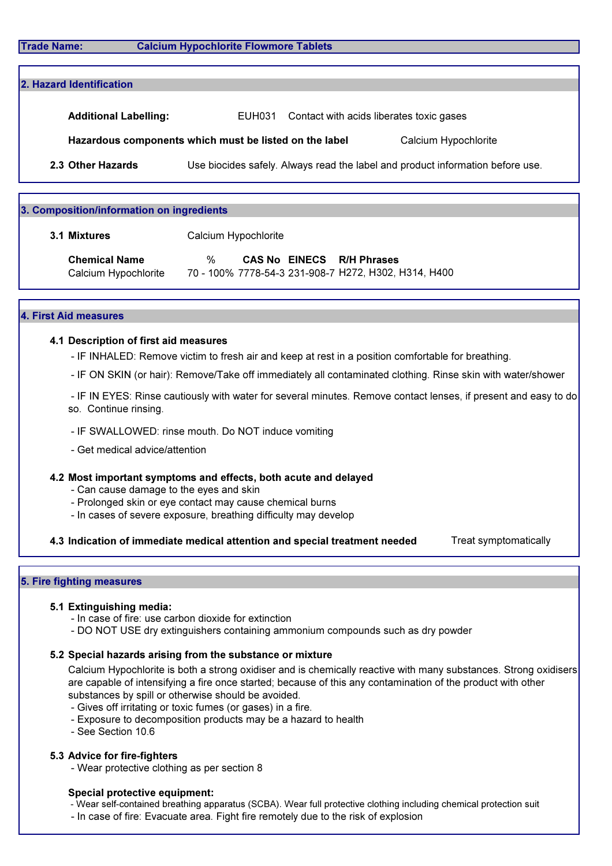| rade Name: |  |
|------------|--|

**Calcium Hypochlorite Flowmore Tablets** 

| 2. Hazard Identification     |                                                                                |                      |  |
|------------------------------|--------------------------------------------------------------------------------|----------------------|--|
|                              |                                                                                |                      |  |
| <b>Additional Labelling:</b> | Contact with acids liberates toxic gases<br>EUH031                             |                      |  |
|                              | Hazardous components which must be listed on the label                         | Calcium Hypochlorite |  |
| 2.3 Other Hazards            | Use biocides safely. Always read the label and product information before use. |                      |  |

# 3. Composition/information on ingredients

| 3.1 Mixtures         | Calcium Hypochlorite                                 |  |  |  |
|----------------------|------------------------------------------------------|--|--|--|
| <b>Chemical Name</b> | <b>CAS No EINECS R/H Phrases</b><br>$\frac{1}{2}$    |  |  |  |
| Calcium Hypochlorite | 70 - 100% 7778-54-3 231-908-7 H272, H302, H314, H400 |  |  |  |

# 4. First Aid measures

# 4.1 Description of first aid measures

- IF INHALED: Remove victim to fresh air and keep at rest in a position comfortable for breathing.

- IF ON SKIN (or hair): Remove/Take off immediately all contaminated clothing. Rinse skin with water/shower

 - IF IN EYES: Rinse cautiously with water for several minutes. Remove contact lenses, if present and easy to do so. Continue rinsing.

- IF SWALLOWED: rinse mouth. Do NOT induce vomiting

- Get medical advice/attention

# 4.2 Most important symptoms and effects, both acute and delayed

- Can cause damage to the eyes and skin

- Prolonged skin or eye contact may cause chemical burns
- In cases of severe exposure, breathing difficulty may develop

4.3 Indication of immediate medical attention and special treatment needed Treat symptomatically

# 5. Fire fighting measures

# 5.1 Extinguishing media:

- In case of fire: use carbon dioxide for extinction

- DO NOT USE dry extinguishers containing ammonium compounds such as dry powder

# 5.2 Special hazards arising from the substance or mixture

Calcium Hypochlorite is both a strong oxidiser and is chemically reactive with many substances. Strong oxidisers are capable of intensifying a fire once started; because of this any contamination of the product with other substances by spill or otherwise should be avoided.

- Gives off irritating or toxic fumes (or gases) in a fire.
- Exposure to decomposition products may be a hazard to health
- See Section 10.6

# 5.3 Advice for fire-fighters

- Wear protective clothing as per section 8

## Special protective equipment:

- Wear self-contained breathing apparatus (SCBA). Wear full protective clothing including chemical protection suit
- In case of fire: Evacuate area. Fight fire remotely due to the risk of explosion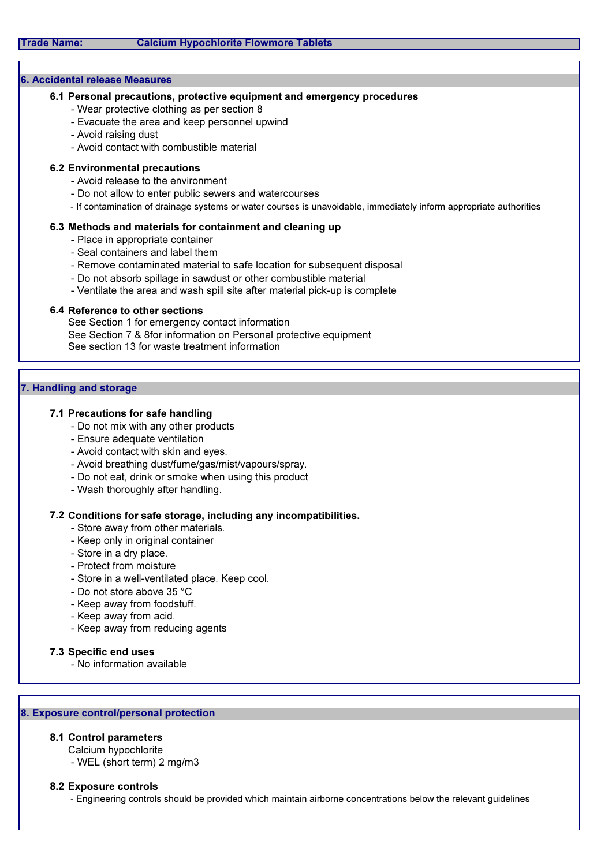#### 6. Accidental release Measures

## 6.1 Personal precautions, protective equipment and emergency procedures

- Wear protective clothing as per section 8
- Evacuate the area and keep personnel upwind
- Avoid raising dust
- Avoid contact with combustible material

## 6.2 Environmental precautions

- Avoid release to the environment
- Do not allow to enter public sewers and watercourses
- If contamination of drainage systems or water courses is unavoidable, immediately inform appropriate authorities

## 6.3 Methods and materials for containment and cleaning up

- Place in appropriate container
- Seal containers and label them
- Remove contaminated material to safe location for subsequent disposal
- Do not absorb spillage in sawdust or other combustible material
- Ventilate the area and wash spill site after material pick-up is complete

# 6.4 Reference to other sections

See Section 7 & 8for information on Personal protective equipment See section 13 for waste treatment information See Section 1 for emergency contact information

# 7. Handling and storage

# 7.1 Precautions for safe handling

- Do not mix with any other products
- Ensure adequate ventilation
- Avoid contact with skin and eyes.
- Avoid breathing dust/fume/gas/mist/vapours/spray.
- Do not eat, drink or smoke when using this product
- Wash thoroughly after handling.

# 7.2 Conditions for safe storage, including any incompatibilities.

- Store away from other materials.
- Keep only in original container
- Store in a dry place.
- Protect from moisture
- Store in a well-ventilated place. Keep cool.
- Do not store above 35 °C
- Keep away from foodstuff.
- Keep away from acid.
- Keep away from reducing agents

# 7.3 Specific end uses

- No information available

# 8. Exposure control/personal protection

# 8.1 Control parameters

Calcium hypochlorite

- WEL (short term) 2 mg/m3

## 8.2 Exposure controls

- Engineering controls should be provided which maintain airborne concentrations below the relevant guidelines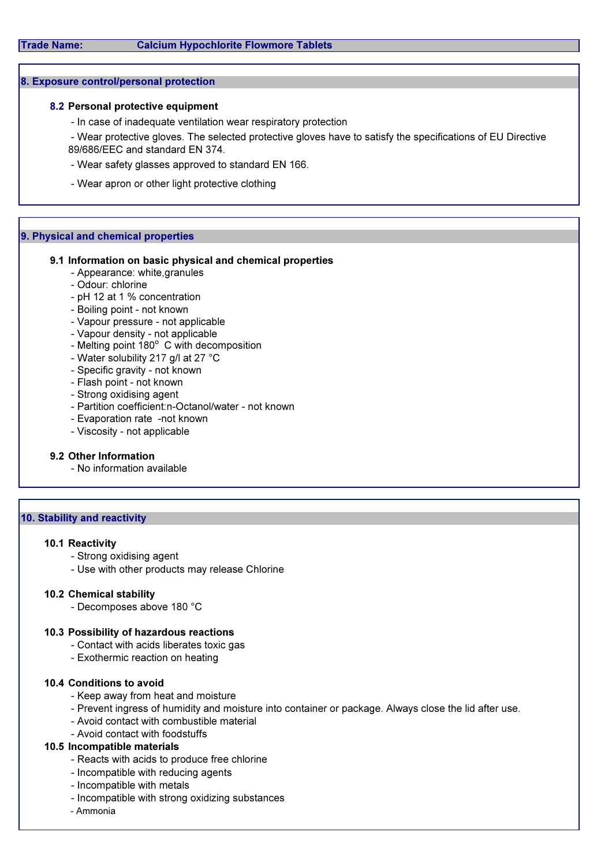## 8. Exposure control/personal protection

## 8.2 Personal protective equipment

- In case of inadequate ventilation wear respiratory protection

 - Wear protective gloves. The selected protective gloves have to satisfy the specifications of EU Directive 89/686/EEC and standard EN 374.

- Wear safety glasses approved to standard EN 166.
- Wear apron or other light protective clothing

# 9. Physical and chemical properties

#### 9.1 Information on basic physical and chemical properties

- Appearance: white,granules
- Odour: chlorine
- pH 12 at 1 % concentration
- Boiling point not known
- Vapour pressure not applicable
- Vapour density not applicable
- Melting point 180° C with decomposition
- Water solubility 217 g/l at 27 °C
- Specific gravity not known
- Flash point not known
- Strong oxidising agent
- Partition coefficient:n-Octanol/water not known
- Evaporation rate -not known
- Viscosity not applicable

# 9.2 Other Information

- No information available

# 10. Stability and reactivity

#### 10.1 Reactivity

- Strong oxidising agent
- Use with other products may release Chlorine

#### 10.2 Chemical stability

- Decomposes above 180 °C

#### 10.3 Possibility of hazardous reactions

- Contact with acids liberates toxic gas
	- Exothermic reaction on heating

#### 10.4 Conditions to avoid

- Keep away from heat and moisture
- Prevent ingress of humidity and moisture into container or package. Always close the lid after use.
- Avoid contact with combustible material
- Avoid contact with foodstuffs

# 10.5 Incompatible materials

- Reacts with acids to produce free chlorine
- Incompatible with reducing agents
- Incompatible with metals
- Incompatible with strong oxidizing substances
- Ammonia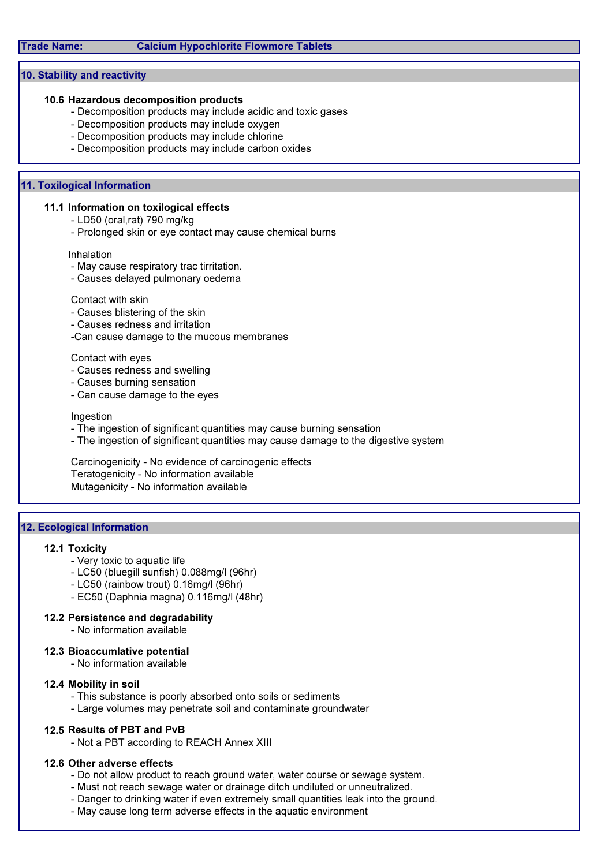#### Trade Name: Calcium Hypochlorite Flowmore Tablets

# 10. Stability and reactivity

# 10.6 Hazardous decomposition products

- Decomposition products may include acidic and toxic gases
- Decomposition products may include oxygen
- Decomposition products may include chlorine
- Decomposition products may include carbon oxides

## 11. Toxilogical Information

# 11.1 Information on toxilogical effects

- LD50 (oral,rat) 790 mg/kg
- Prolonged skin or eye contact may cause chemical burns

#### Inhalation

- May cause respiratory trac tirritation.
- Causes delayed pulmonary oedema

## Contact with skin

- Causes blistering of the skin
- Causes redness and irritation
- -Can cause damage to the mucous membranes

## Contact with eyes

- Causes redness and swelling
- Causes burning sensation
- Can cause damage to the eyes

#### Ingestion

- The ingestion of significant quantities may cause burning sensation
- The ingestion of significant quantities may cause damage to the digestive system

Carcinogenicity - No evidence of carcinogenic effects Teratogenicity - No information available Mutagenicity - No information available

## 12. Ecological Information

## 12.1 Toxicity

- Very toxic to aquatic life
- LC50 (bluegill sunfish) 0.088mg/l (96hr)
- LC50 (rainbow trout) 0.16mg/l (96hr)
- EC50 (Daphnia magna) 0.116mg/l (48hr)

## 12.2 Persistence and degradability

- No information available

#### 12.3 Bioaccumlative potential

- No information available

# 12.4 Mobility in soil

- This substance is poorly absorbed onto soils or sediments
- Large volumes may penetrate soil and contaminate groundwater

#### 12.5 Results of PBT and PvB

- Not a PBT according to REACH Annex XIII

## 12.6 Other adverse effects

- Do not allow product to reach ground water, water course or sewage system.
- Must not reach sewage water or drainage ditch undiluted or unneutralized.
- Danger to drinking water if even extremely small quantities leak into the ground.
- May cause long term adverse effects in the aquatic environment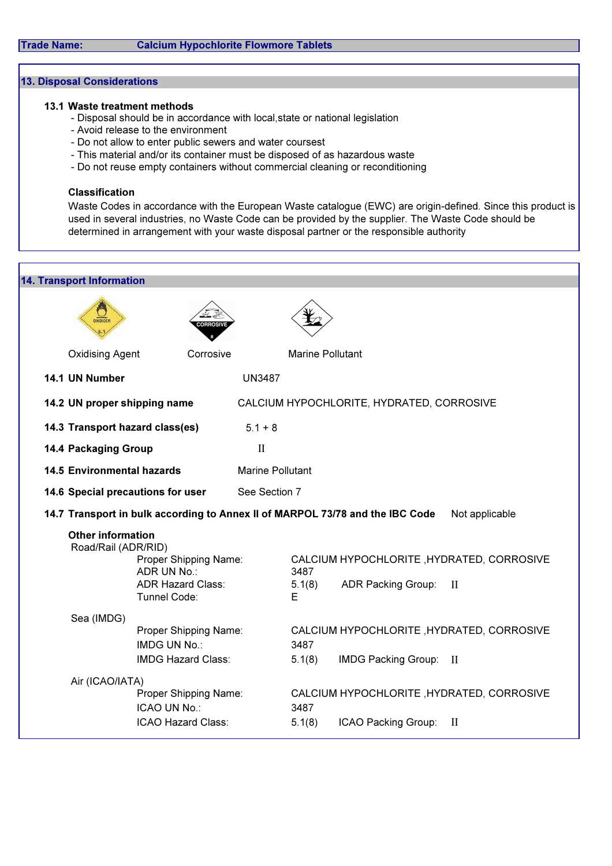#### 13. Disposal Considerations

#### 13.1 Waste treatment methods

- Disposal should be in accordance with local,state or national legislation
- Avoid release to the environment
- Do not allow to enter public sewers and water coursest
- This material and/or its container must be disposed of as hazardous waste
- Do not reuse empty containers without commercial cleaning or reconditioning

# Classification

Waste Codes in accordance with the European Waste catalogue (EWC) are origin-defined. Since this product is used in several industries, no Waste Code can be provided by the supplier. The Waste Code should be determined in arrangement with your waste disposal partner or the responsible authority